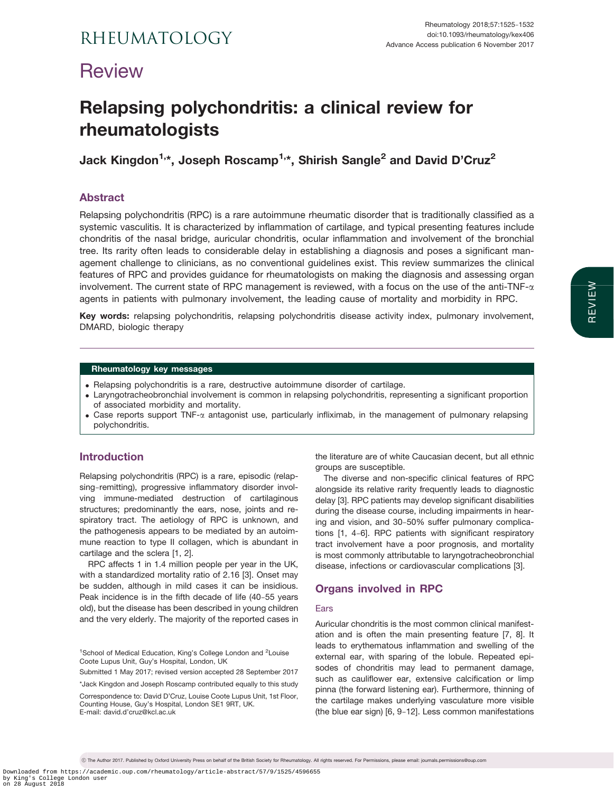# **Review**

# Relapsing polychondritis: a clinical review for rheumatologists

Jack Kingdon<sup>1,\*</sup>, Joseph Roscamp<sup>1,\*</sup>, Shirish Sangle<sup>2</sup> and David D'Cruz<sup>2</sup>

# Abstract

Relapsing polychondritis (RPC) is a rare autoimmune rheumatic disorder that is traditionally classified as a systemic vasculitis. It is characterized by inflammation of cartilage, and typical presenting features include chondritis of the nasal bridge, auricular chondritis, ocular inflammation and involvement of the bronchial tree. Its rarity often leads to considerable delay in establishing a diagnosis and poses a significant management challenge to clinicians, as no conventional guidelines exist. This review summarizes the clinical features of RPC and provides guidance for rheumatologists on making the diagnosis and assessing organ involvement. The current state of RPC management is reviewed, with a focus on the use of the anti-TNF- $\alpha$ agents in patients with pulmonary involvement, the leading cause of mortality and morbidity in RPC.

Key words: relapsing polychondritis, relapsing polychondritis disease activity index, pulmonary involvement, DMARD, biologic therapy

#### Rheumatology key messages

- . Relapsing polychondritis is a rare, destructive autoimmune disorder of cartilage.
- . Laryngotracheobronchial involvement is common in relapsing polychondritis, representing a significant proportion of associated morbidity and mortality.
- . Case reports support TNF-a antagonist use, particularly infliximab, in the management of pulmonary relapsing polychondritis.

# Introduction

Relapsing polychondritis (RPC) is a rare, episodic (relapsing-remitting), progressive inflammatory disorder involving immune-mediated destruction of cartilaginous structures; predominantly the ears, nose, joints and respiratory tract. The aetiology of RPC is unknown, and the pathogenesis appears to be mediated by an autoimmune reaction to type II collagen, which is abundant in cartilage and the sclera [\[1, 2\]](#page-5-0).

RPC affects 1 in 1.4 million people per year in the UK, with a standardized mortality ratio of 2.16 [\[3\]](#page-5-0). Onset may be sudden, although in mild cases it can be insidious. Peak incidence is in the fifth decade of life (40-55 years old), but the disease has been described in young children and the very elderly. The majority of the reported cases in

<sup>1</sup>School of Medical Education, King's College London and <sup>2</sup>Louise Coote Lupus Unit, Guy's Hospital, London, UK

\*Jack Kingdon and Joseph Roscamp contributed equally to this study Submitted 1 May 2017; revised version accepted 28 September 2017

Correspondence to: David D'Cruz, Louise Coote Lupus Unit, 1st Floor, Counting House, Guy's Hospital, London SE1 9RT, UK. E-mail: david.d'cruz@kcl.ac.uk

the literature are of white Caucasian decent, but all ethnic groups are susceptible.

The diverse and non-specific clinical features of RPC alongside its relative rarity frequently leads to diagnostic delay [\[3\]](#page-5-0). RPC patients may develop significant disabilities during the disease course, including impairments in hearing and vision, and 30-50% suffer pulmonary complications [\[1](#page-5-0), [4](#page-5-0)-[6](#page-5-0)]. RPC patients with significant respiratory tract involvement have a poor prognosis, and mortality is most commonly attributable to laryngotracheobronchial disease, infections or cardiovascular complications [[3](#page-5-0)].

# Organs involved in RPC

## Ears

Auricular chondritis is the most common clinical manifestation and is often the main presenting feature [[7](#page-5-0), [8](#page-5-0)]. It leads to erythematous inflammation and swelling of the external ear, with sparing of the lobule. Repeated episodes of chondritis may lead to permanent damage, such as cauliflower ear, extensive calcification or limp pinna (the forward listening ear). Furthermore, thinning of the cartilage makes underlying vasculature more visible (the blue ear sign) [[6, 9](#page-5-0)-[12\]](#page-5-0). Less common manifestations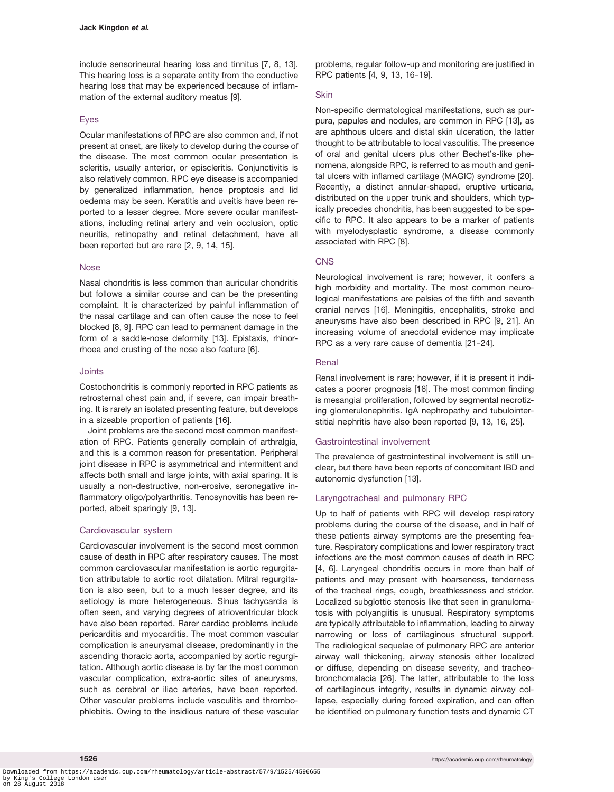include sensorineural hearing loss and tinnitus [\[7, 8](#page-5-0), [13](#page-6-0)]. This hearing loss is a separate entity from the conductive hearing loss that may be experienced because of inflammation of the external auditory meatus [\[9](#page-5-0)].

#### Eyes

Ocular manifestations of RPC are also common and, if not present at onset, are likely to develop during the course of the disease. The most common ocular presentation is scleritis, usually anterior, or episcleritis. Conjunctivitis is also relatively common. RPC eye disease is accompanied by generalized inflammation, hence proptosis and lid oedema may be seen. Keratitis and uveitis have been reported to a lesser degree. More severe ocular manifestations, including retinal artery and vein occlusion, optic neuritis, retinopathy and retinal detachment, have all been reported but are rare [\[2, 9,](#page-5-0) [14](#page-6-0), [15\]](#page-6-0).

#### Nose

Nasal chondritis is less common than auricular chondritis but follows a similar course and can be the presenting complaint. It is characterized by painful inflammation of the nasal cartilage and can often cause the nose to feel blocked [\[8](#page-5-0), [9\]](#page-5-0). RPC can lead to permanent damage in the form of a saddle-nose deformity [\[13](#page-6-0)]. Epistaxis, rhinorrhoea and crusting of the nose also feature [[6](#page-5-0)].

#### Joints

Costochondritis is commonly reported in RPC patients as retrosternal chest pain and, if severe, can impair breathing. It is rarely an isolated presenting feature, but develops in a sizeable proportion of patients [\[16\]](#page-6-0).

Joint problems are the second most common manifestation of RPC. Patients generally complain of arthralgia, and this is a common reason for presentation. Peripheral joint disease in RPC is asymmetrical and intermittent and affects both small and large joints, with axial sparing. It is usually a non-destructive, non-erosive, seronegative inflammatory oligo/polyarthritis. Tenosynovitis has been reported, albeit sparingly [\[9,](#page-5-0) [13](#page-6-0)].

#### Cardiovascular system

Cardiovascular involvement is the second most common cause of death in RPC after respiratory causes. The most common cardiovascular manifestation is aortic regurgitation attributable to aortic root dilatation. Mitral regurgitation is also seen, but to a much lesser degree, and its aetiology is more heterogeneous. Sinus tachycardia is often seen, and varying degrees of atrioventricular block have also been reported. Rarer cardiac problems include pericarditis and myocarditis. The most common vascular complication is aneurysmal disease, predominantly in the ascending thoracic aorta, accompanied by aortic regurgitation. Although aortic disease is by far the most common vascular complication, extra-aortic sites of aneurysms, such as cerebral or iliac arteries, have been reported. Other vascular problems include vasculitis and thrombophlebitis. Owing to the insidious nature of these vascular problems, regular follow-up and monitoring are justified in RPC patients [\[4, 9,](#page-5-0) [13](#page-6-0), [16](#page-6-0)-[19](#page-6-0)].

#### Skin

Non-specific dermatological manifestations, such as purpura, papules and nodules, are common in RPC [\[13](#page-6-0)], as are aphthous ulcers and distal skin ulceration, the latter thought to be attributable to local vasculitis. The presence of oral and genital ulcers plus other Bechet's-like phenomena, alongside RPC, is referred to as mouth and genital ulcers with inflamed cartilage (MAGIC) syndrome [[20](#page-6-0)]. Recently, a distinct annular-shaped, eruptive urticaria, distributed on the upper trunk and shoulders, which typically precedes chondritis, has been suggested to be specific to RPC. It also appears to be a marker of patients with myelodysplastic syndrome, a disease commonly associated with RPC [[8](#page-5-0)].

#### **CNS**

Neurological involvement is rare; however, it confers a high morbidity and mortality. The most common neurological manifestations are palsies of the fifth and seventh cranial nerves [\[16\]](#page-6-0). Meningitis, encephalitis, stroke and aneurysms have also been described in RPC [\[9,](#page-5-0) [21\]](#page-6-0). An increasing volume of anecdotal evidence may implicate RPC as a very rare cause of dementia [\[21](#page-6-0)-[24](#page-6-0)].

#### Renal

Renal involvement is rare; however, if it is present it indicates a poorer prognosis [[16](#page-6-0)]. The most common finding is mesangial proliferation, followed by segmental necrotizing glomerulonephritis. IgA nephropathy and tubulointerstitial nephritis have also been reported [[9](#page-5-0), [13, 16](#page-6-0), [25](#page-6-0)].

## Gastrointestinal involvement

The prevalence of gastrointestinal involvement is still unclear, but there have been reports of concomitant IBD and autonomic dysfunction [\[13\]](#page-6-0).

#### Laryngotracheal and pulmonary RPC

Up to half of patients with RPC will develop respiratory problems during the course of the disease, and in half of these patients airway symptoms are the presenting feature. Respiratory complications and lower respiratory tract infections are the most common causes of death in RPC [[4, 6\]](#page-5-0). Laryngeal chondritis occurs in more than half of patients and may present with hoarseness, tenderness of the tracheal rings, cough, breathlessness and stridor. Localized subglottic stenosis like that seen in granulomatosis with polyangiitis is unusual. Respiratory symptoms are typically attributable to inflammation, leading to airway narrowing or loss of cartilaginous structural support. The radiological sequelae of pulmonary RPC are anterior airway wall thickening, airway stenosis either localized or diffuse, depending on disease severity, and tracheobronchomalacia [[26\]](#page-6-0). The latter, attributable to the loss of cartilaginous integrity, results in dynamic airway collapse, especially during forced expiration, and can often be identified on pulmonary function tests and dynamic CT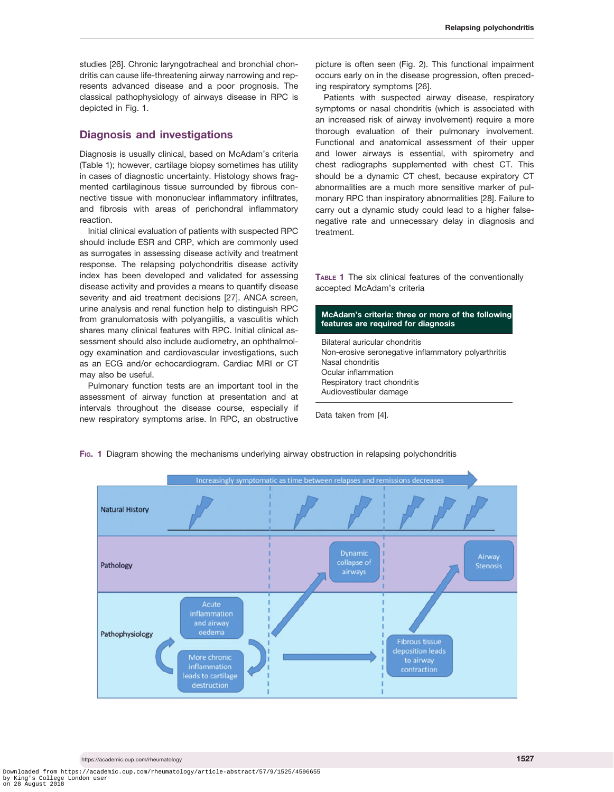studies [\[26\]](#page-6-0). Chronic laryngotracheal and bronchial chondritis can cause life-threatening airway narrowing and represents advanced disease and a poor prognosis. The classical pathophysiology of airways disease in RPC is depicted in Fig. 1.

# Diagnosis and investigations

Diagnosis is usually clinical, based on McAdam's criteria (Table 1); however, cartilage biopsy sometimes has utility in cases of diagnostic uncertainty. Histology shows fragmented cartilaginous tissue surrounded by fibrous connective tissue with mononuclear inflammatory infiltrates, and fibrosis with areas of perichondral inflammatory reaction.

Initial clinical evaluation of patients with suspected RPC should include ESR and CRP, which are commonly used as surrogates in assessing disease activity and treatment response. The relapsing polychondritis disease activity index has been developed and validated for assessing disease activity and provides a means to quantify disease severity and aid treatment decisions [[27](#page-6-0)]. ANCA screen, urine analysis and renal function help to distinguish RPC from granulomatosis with polyangiitis, a vasculitis which shares many clinical features with RPC. Initial clinical assessment should also include audiometry, an ophthalmology examination and cardiovascular investigations, such as an ECG and/or echocardiogram. Cardiac MRI or CT may also be useful.

Pulmonary function tests are an important tool in the assessment of airway function at presentation and at intervals throughout the disease course, especially if new respiratory symptoms arise. In RPC, an obstructive

picture is often seen (Fig. 2). This functional impairment occurs early on in the disease progression, often preceding respiratory symptoms [[26](#page-6-0)].

Patients with suspected airway disease, respiratory symptoms or nasal chondritis (which is associated with an increased risk of airway involvement) require a more thorough evaluation of their pulmonary involvement. Functional and anatomical assessment of their upper and lower airways is essential, with spirometry and chest radiographs supplemented with chest CT. This should be a dynamic CT chest, because expiratory CT abnormalities are a much more sensitive marker of pulmonary RPC than inspiratory abnormalities [\[28\]](#page-6-0). Failure to carry out a dynamic study could lead to a higher falsenegative rate and unnecessary delay in diagnosis and treatment.

TABLE 1 The six clinical features of the conventionally accepted McAdam's criteria

## McAdam's criteria: three or more of the following features are required for diagnosis

Bilateral auricular chondritis Non-erosive seronegative inflammatory polyarthritis Nasal chondritis Ocular inflammation Respiratory tract chondritis Audiovestibular damage

Data taken from [\[4](#page-5-0)].



FIG. 1 Diagram showing the mechanisms underlying airway obstruction in relapsing polychondritis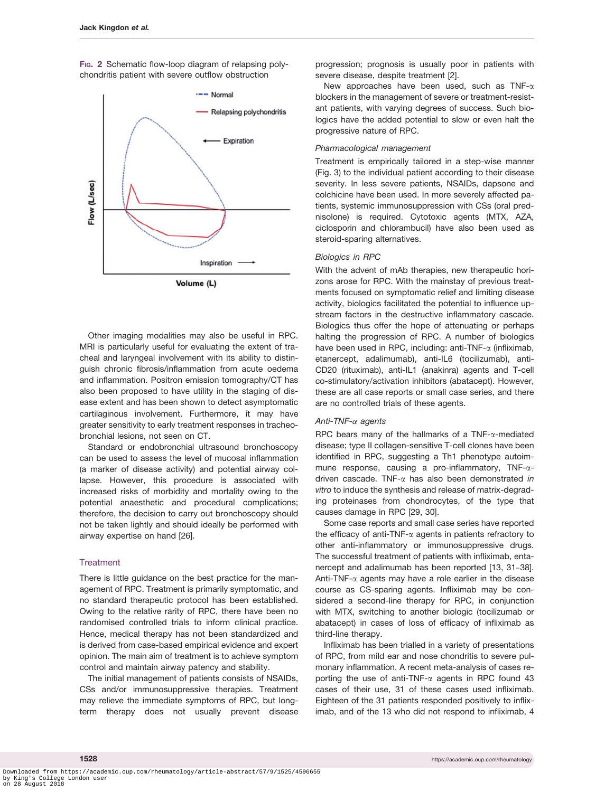Fig. 2 Schematic flow-loop diagram of relapsing polychondritis patient with severe outflow obstruction



Other imaging modalities may also be useful in RPC. MRI is particularly useful for evaluating the extent of tracheal and laryngeal involvement with its ability to distinguish chronic fibrosis/inflammation from acute oedema and inflammation. Positron emission tomography/CT has also been proposed to have utility in the staging of disease extent and has been shown to detect asymptomatic cartilaginous involvement. Furthermore, it may have greater sensitivity to early treatment responses in tracheobronchial lesions, not seen on CT.

Standard or endobronchial ultrasound bronchoscopy can be used to assess the level of mucosal inflammation (a marker of disease activity) and potential airway collapse. However, this procedure is associated with increased risks of morbidity and mortality owing to the potential anaesthetic and procedural complications; therefore, the decision to carry out bronchoscopy should not be taken lightly and should ideally be performed with airway expertise on hand [[26\]](#page-6-0).

## **Treatment**

There is little guidance on the best practice for the management of RPC. Treatment is primarily symptomatic, and no standard therapeutic protocol has been established. Owing to the relative rarity of RPC, there have been no randomised controlled trials to inform clinical practice. Hence, medical therapy has not been standardized and is derived from case-based empirical evidence and expert opinion. The main aim of treatment is to achieve symptom control and maintain airway patency and stability.

The initial management of patients consists of NSAIDs, CSs and/or immunosuppressive therapies. Treatment may relieve the immediate symptoms of RPC, but longterm therapy does not usually prevent disease

progression; prognosis is usually poor in patients with severe disease, despite treatment [\[2\]](#page-5-0).

New approaches have been used, such as  $TNF-\alpha$ blockers in the management of severe or treatment-resistant patients, with varying degrees of success. Such biologics have the added potential to slow or even halt the progressive nature of RPC.

#### Pharmacological management

Treatment is empirically tailored in a step-wise manner (Fig. 3) to the individual patient according to their disease severity. In less severe patients, NSAIDs, dapsone and colchicine have been used. In more severely affected patients, systemic immunosuppression with CSs (oral prednisolone) is required. Cytotoxic agents (MTX, AZA, ciclosporin and chlorambucil) have also been used as steroid-sparing alternatives.

#### Biologics in RPC

With the advent of mAb therapies, new therapeutic horizons arose for RPC. With the mainstay of previous treatments focused on symptomatic relief and limiting disease activity, biologics facilitated the potential to influence upstream factors in the destructive inflammatory cascade. Biologics thus offer the hope of attenuating or perhaps halting the progression of RPC. A number of biologics have been used in RPC, including: anti-TNF- $\alpha$  (infliximab, etanercept, adalimumab), anti-IL6 (tocilizumab), anti-CD20 (rituximab), anti-IL1 (anakinra) agents and T-cell co-stimulatory/activation inhibitors (abatacept). However, these are all case reports or small case series, and there are no controlled trials of these agents.

#### Anti-TNF-α agents

RPC bears many of the hallmarks of a TNF-a-mediated disease; type II collagen-sensitive T-cell clones have been identified in RPC, suggesting a Th1 phenotype autoimmune response, causing a pro-inflammatory, TNF-adriven cascade. TNF- $\alpha$  has also been demonstrated in vitro to induce the synthesis and release of matrix-degrading proteinases from chondrocytes, of the type that causes damage in RPC [[29](#page-6-0), [30\]](#page-6-0).

Some case reports and small case series have reported the efficacy of anti-TNF- $\alpha$  agents in patients refractory to other anti-inflammatory or immunosuppressive drugs. The successful treatment of patients with infliximab, entanercept and adalimumab has been reported [[13, 31](#page-6-0)-[38](#page-6-0)]. Anti-TNF- $\alpha$  agents may have a role earlier in the disease course as CS-sparing agents. Infliximab may be considered a second-line therapy for RPC, in conjunction with MTX, switching to another biologic (tocilizumab or abatacept) in cases of loss of efficacy of infliximab as third-line therapy.

Infliximab has been trialled in a variety of presentations of RPC, from mild ear and nose chondritis to severe pulmonary inflammation. A recent meta-analysis of cases reporting the use of anti-TNF- $\alpha$  agents in RPC found 43 cases of their use, 31 of these cases used infliximab. Eighteen of the 31 patients responded positively to infliximab, and of the 13 who did not respond to infliximab, 4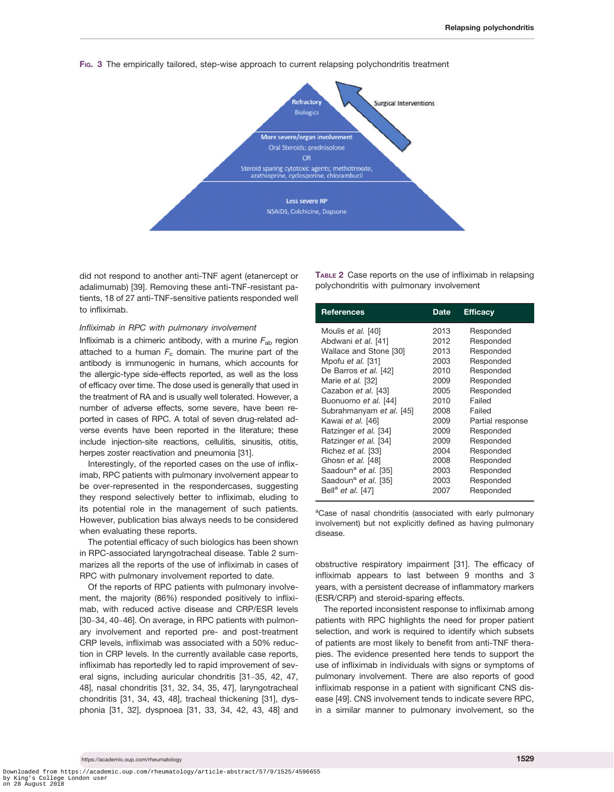FIG. 3 The empirically tailored, step-wise approach to current relapsing polychondritis treatment



did not respond to another anti-TNF agent (etanercept or adalimumab) [\[39](#page-6-0)]. Removing these anti-TNF-resistant patients, 18 of 27 anti-TNF-sensitive patients responded well to infliximab.

#### Infliximab in RPC with pulmonary involvement

Infliximab is a chimeric antibody, with a murine  $F_{ab}$  region attached to a human  $F_c$  domain. The murine part of the antibody is immunogenic in humans, which accounts for the allergic-type side-effects reported, as well as the loss of efficacy over time. The dose used is generally that used in the treatment of RA and is usually well tolerated. However, a number of adverse effects, some severe, have been reported in cases of RPC. A total of seven drug-related adverse events have been reported in the literature; these include injection-site reactions, cellulitis, sinusitis, otitis, herpes zoster reactivation and pneumonia [[31\]](#page-6-0).

Interestingly, of the reported cases on the use of infliximab, RPC patients with pulmonary involvement appear to be over-represented in the respondercases, suggesting they respond selectively better to infliximab, eluding to its potential role in the management of such patients. However, publication bias always needs to be considered when evaluating these reports.

The potential efficacy of such biologics has been shown in RPC-associated laryngotracheal disease. Table 2 summarizes all the reports of the use of infliximab in cases of RPC with pulmonary involvement reported to date.

Of the reports of RPC patients with pulmonary involvement, the majority (86%) responded positively to infliximab, with reduced active disease and CRP/ESR levels [[30](#page-6-0)-[34](#page-6-0), [40](#page-6-0)-[46](#page-6-0)]. On average, in RPC patients with pulmonary involvement and reported pre- and post-treatment CRP levels, infliximab was associated with a 50% reduction in CRP levels. In the currently available case reports, infliximab has reportedly led to rapid improvement of several signs, including auricular chondritis [[31](#page-6-0)-[35, 42, 47](#page-6-0), [48\]](#page-7-0), nasal chondritis [\[31, 32, 34, 35, 47\]](#page-6-0), laryngotracheal chondritis [\[31, 34, 43,](#page-6-0) [48](#page-7-0)], tracheal thickening [[31\]](#page-6-0), dysphonia [\[31, 32](#page-6-0)], dyspnoea [[31](#page-6-0), [33, 34, 42](#page-6-0), [43](#page-6-0), [48](#page-7-0)] and TABLE 2 Case reports on the use of infliximab in relapsing polychondritis with pulmonary involvement

| <b>References</b>                | <b>Date</b> | <b>Efficacy</b>  |
|----------------------------------|-------------|------------------|
| Moulis et al. [40]               | 2013        | Responded        |
| Abdwani et al. [41]              | 2012        | Responded        |
| Wallace and Stone [30]           | 2013        | Responded        |
| Mpofu et al. [31]                | 2003        | Responded        |
| De Barros et al. [42]            | 2010        | Responded        |
| Marie et al. [32]                | 2009        | Responded        |
| Cazabon et al. [43]              | 2005        | Responded        |
| Buonuomo et al. [44]             | 2010        | Failed           |
| Subrahmanyam et al. [45]         | 2008        | Failed           |
| Kawai e <i>t al.</i> [46]        | 2009        | Partial response |
| Ratzinger et al. [34]            | 2009        | Responded        |
| Ratzinger et al. [34]            | 2009        | Responded        |
| Richez <i>et al.</i> [33]        | 2004        | Responded        |
| Ghosn <i>et al.</i> [48]         | 2008        | Responded        |
| Saadoun <sup>a</sup> et al. [35] | 2003        | Responded        |
| Saadoun <sup>a</sup> et al. [35] | 2003        | Responded        |
| Bell <sup>a</sup> et al. [47]    | 2007        | Responded        |
|                                  |             |                  |

<sup>a</sup>Case of nasal chondritis (associated with early pulmonary involvement) but not explicitly defined as having pulmonary disease.

obstructive respiratory impairment [\[31](#page-6-0)]. The efficacy of infliximab appears to last between 9 months and 3 years, with a persistent decrease of inflammatory markers (ESR/CRP) and steroid-sparing effects.

The reported inconsistent response to infliximab among patients with RPC highlights the need for proper patient selection, and work is required to identify which subsets of patients are most likely to benefit from anti-TNF therapies. The evidence presented here tends to support the use of infliximab in individuals with signs or symptoms of pulmonary involvement. There are also reports of good infliximab response in a patient with significant CNS disease [\[49](#page-7-0)]. CNS involvement tends to indicate severe RPC, in a similar manner to pulmonary involvement, so the

Downloaded from https://academic.oup.com/rheumatology/article-abstract/57/9/1525/4596655 by King's College London user on 28 August 2018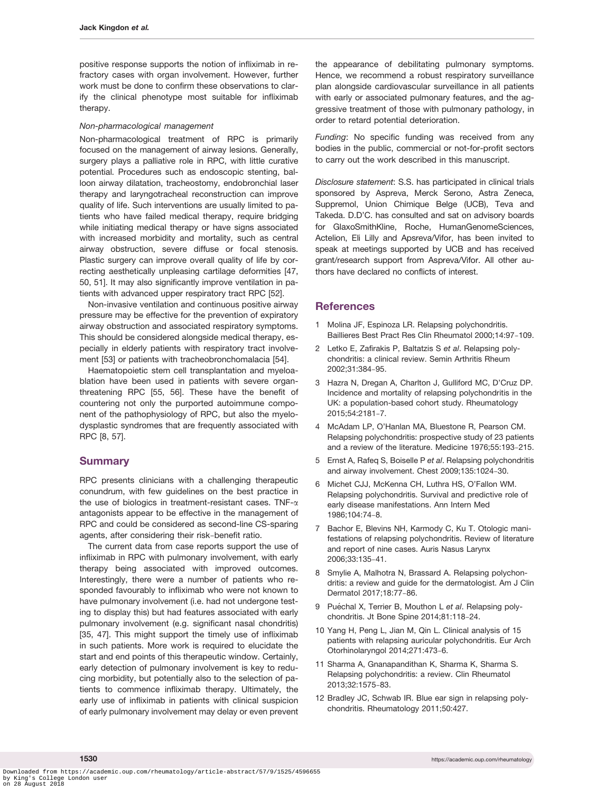<span id="page-5-0"></span>positive response supports the notion of infliximab in refractory cases with organ involvement. However, further work must be done to confirm these observations to clarify the clinical phenotype most suitable for infliximab therapy.

#### Non-pharmacological management

Non-pharmacological treatment of RPC is primarily focused on the management of airway lesions. Generally, surgery plays a palliative role in RPC, with little curative potential. Procedures such as endoscopic stenting, balloon airway dilatation, tracheostomy, endobronchial laser therapy and laryngotracheal reconstruction can improve quality of life. Such interventions are usually limited to patients who have failed medical therapy, require bridging while initiating medical therapy or have signs associated with increased morbidity and mortality, such as central airway obstruction, severe diffuse or focal stenosis. Plastic surgery can improve overall quality of life by correcting aesthetically unpleasing cartilage deformities [\[47](#page-6-0), [50, 51](#page-7-0)]. It may also significantly improve ventilation in patients with advanced upper respiratory tract RPC [\[52](#page-7-0)].

Non-invasive ventilation and continuous positive airway pressure may be effective for the prevention of expiratory airway obstruction and associated respiratory symptoms. This should be considered alongside medical therapy, especially in elderly patients with respiratory tract involvement [[53\]](#page-7-0) or patients with tracheobronchomalacia [[54\]](#page-7-0).

Haematopoietic stem cell transplantation and myeloablation have been used in patients with severe organthreatening RPC [[55, 56](#page-7-0)]. These have the benefit of countering not only the purported autoimmune component of the pathophysiology of RPC, but also the myelodysplastic syndromes that are frequently associated with RPC [8, [57\]](#page-7-0).

## **Summary**

RPC presents clinicians with a challenging therapeutic conundrum, with few guidelines on the best practice in the use of biologics in treatment-resistant cases. TNF- $\alpha$ antagonists appear to be effective in the management of RPC and could be considered as second-line CS-sparing agents, after considering their risk-benefit ratio.

The current data from case reports support the use of infliximab in RPC with pulmonary involvement, with early therapy being associated with improved outcomes. Interestingly, there were a number of patients who responded favourably to infliximab who were not known to have pulmonary involvement (i.e. had not undergone testing to display this) but had features associated with early pulmonary involvement (e.g. significant nasal chondritis) [[35, 47](#page-6-0)]. This might support the timely use of infliximab in such patients. More work is required to elucidate the start and end points of this therapeutic window. Certainly, early detection of pulmonary involvement is key to reducing morbidity, but potentially also to the selection of patients to commence infliximab therapy. Ultimately, the early use of infliximab in patients with clinical suspicion of early pulmonary involvement may delay or even prevent

the appearance of debilitating pulmonary symptoms. Hence, we recommend a robust respiratory surveillance plan alongside cardiovascular surveillance in all patients with early or associated pulmonary features, and the aggressive treatment of those with pulmonary pathology, in order to retard potential deterioration.

Funding: No specific funding was received from any bodies in the public, commercial or not-for-profit sectors to carry out the work described in this manuscript.

Disclosure statement: S.S. has participated in clinical trials sponsored by Aspreva, Merck Serono, Astra Zeneca, Suppremol, Union Chimique Belge (UCB), Teva and Takeda. D.D'C. has consulted and sat on advisory boards for GlaxoSmithKline, Roche, HumanGenomeSciences, Actelion, Eli Lilly and Apsreva/Vifor, has been invited to speak at meetings supported by UCB and has received grant/research support from Aspreva/Vifor. All other authors have declared no conflicts of interest.

## **References**

- 1 Molina JF, Espinoza LR. Relapsing polychondritis. Baillieres Best Pract Res Clin Rheumatol 2000;14:97-109.
- 2 Letko E, Zafirakis P, Baltatzis S et al. Relapsing polychondritis: a clinical review. Semin Arthritis Rheum 2002;31:384-95.
- 3 Hazra N, Dregan A, Charlton J, Gulliford MC, D'Cruz DP. Incidence and mortality of relapsing polychondritis in the UK: a population-based cohort study. Rheumatology 2015;54:2181-7.
- 4 McAdam LP, O'Hanlan MA, Bluestone R, Pearson CM. Relapsing polychondritis: prospective study of 23 patients and a review of the literature. Medicine 1976;55:193-215.
- 5 Ernst A, Rafeq S, Boiselle P et al. Relapsing polychondritis and airway involvement. Chest 2009;135:1024-30.
- 6 Michet CJJ, McKenna CH, Luthra HS, O'Fallon WM. Relapsing polychondritis. Survival and predictive role of early disease manifestations. Ann Intern Med 1986;104:74-8.
- 7 Bachor E, Blevins NH, Karmody C, Ku T. Otologic manifestations of relapsing polychondritis. Review of literature and report of nine cases. Auris Nasus Larynx 2006;33:135-41.
- 8 Smylie A, Malhotra N, Brassard A. Relapsing polychondritis: a review and guide for the dermatologist. Am J Clin Dermatol 2017;18:77-86.
- 9 Puéchal X, Terrier B, Mouthon L et al. Relapsing polychondritis. Jt Bone Spine 2014;81:118-24.
- 10 Yang H, Peng L, Jian M, Qin L. Clinical analysis of 15 patients with relapsing auricular polychondritis. Eur Arch Otorhinolaryngol 2014;271:473-6.
- 11 Sharma A, Gnanapandithan K, Sharma K, Sharma S. Relapsing polychondritis: a review. Clin Rheumatol 2013;32:1575-83.
- 12 Bradley JC, Schwab IR. Blue ear sign in relapsing polychondritis. Rheumatology 2011;50:427.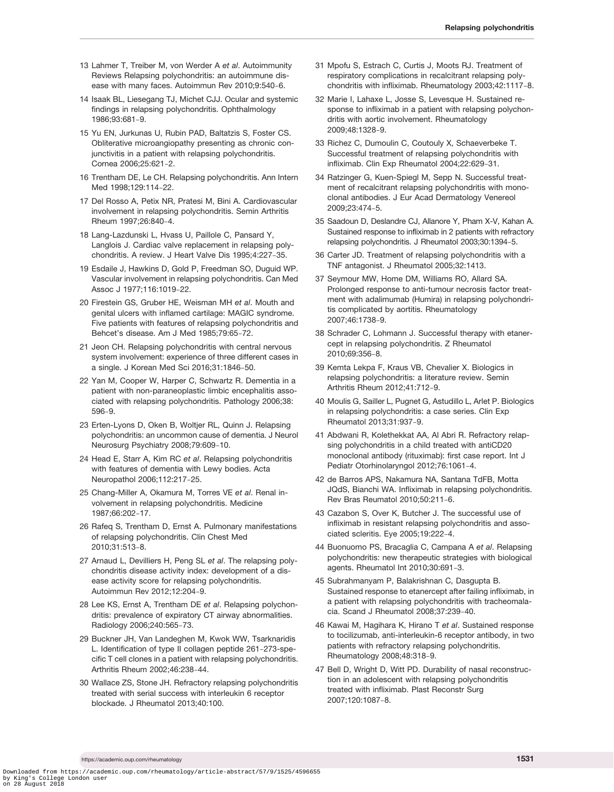- <span id="page-6-0"></span>13 Lahmer T, Treiber M, von Werder A et al. Autoimmunity Reviews Relapsing polychondritis: an autoimmune disease with many faces. Autoimmun Rev 2010;9:540-6.
- 14 Isaak BL, Liesegang TJ, Michet CJJ. Ocular and systemic findings in relapsing polychondritis. Ophthalmology 1986;93:681-9.
- 15 Yu EN, Jurkunas U, Rubin PAD, Baltatzis S, Foster CS. Obliterative microangiopathy presenting as chronic conjunctivitis in a patient with relapsing polychondritis. Cornea 2006;25:621-2.
- 16 Trentham DE, Le CH. Relapsing polychondritis. Ann Intern Med 1998;129:114-22.
- 17 Del Rosso A, Petix NR, Pratesi M, Bini A. Cardiovascular involvement in relapsing polychondritis. Semin Arthritis Rheum 1997;26:840-4.
- 18 Lang-Lazdunski L, Hvass U, Paillole C, Pansard Y, Langlois J. Cardiac valve replacement in relapsing polychondritis. A review. J Heart Valve Dis 1995;4:227-35.
- 19 Esdaile J, Hawkins D, Gold P, Freedman SO, Duguid WP. Vascular involvement in relapsing polychondritis. Can Med Assoc J 1977;116:1019-22.
- 20 Firestein GS, Gruber HE, Weisman MH et al. Mouth and genital ulcers with inflamed cartilage: MAGIC syndrome. Five patients with features of relapsing polychondritis and Behcet's disease. Am J Med 1985;79:65-72.
- 21 Jeon CH. Relapsing polychondritis with central nervous system involvement: experience of three different cases in a single. J Korean Med Sci 2016;31:1846-50.
- 22 Yan M, Cooper W, Harper C, Schwartz R. Dementia in a patient with non-paraneoplastic limbic encephalitis associated with relapsing polychondritis. Pathology 2006;38: 596-9.
- 23 Erten-Lyons D, Oken B, Woltjer RL, Quinn J. Relapsing polychondritis: an uncommon cause of dementia. J Neurol Neurosurg Psychiatry 2008;79:609-10.
- 24 Head E, Starr A, Kim RC et al. Relapsing polychondritis with features of dementia with Lewy bodies. Acta Neuropathol 2006;112:217-25.
- 25 Chang-Miller A, Okamura M, Torres VE et al. Renal involvement in relapsing polychondritis. Medicine 1987;66:202-17.
- 26 Rafeq S, Trentham D, Ernst A. Pulmonary manifestations of relapsing polychondritis. Clin Chest Med 2010;31:513-8.
- 27 Arnaud L, Devilliers H, Peng SL et al. The relapsing polychondritis disease activity index: development of a disease activity score for relapsing polychondritis. Autoimmun Rev 2012;12:204-9.
- 28 Lee KS, Ernst A, Trentham DE et al. Relapsing polychondritis: prevalence of expiratory CT airway abnormalities. Radiology 2006;240:565-73.
- 29 Buckner JH, Van Landeghen M, Kwok WW, Tsarknaridis L. Identification of type II collagen peptide 261-273-specific T cell clones in a patient with relapsing polychondritis. Arthritis Rheum 2002;46:238-44.
- 30 Wallace ZS, Stone JH. Refractory relapsing polychondritis treated with serial success with interleukin 6 receptor blockade. J Rheumatol 2013;40:100.
- 31 Mpofu S, Estrach C, Curtis J, Moots RJ. Treatment of respiratory complications in recalcitrant relapsing polychondritis with infliximab. Rheumatology 2003;42:1117-8.
- 32 Marie I, Lahaxe L, Josse S, Levesque H. Sustained response to infliximab in a patient with relapsing polychondritis with aortic involvement. Rheumatology 2009;48:1328-9.
- 33 Richez C, Dumoulin C, Coutouly X, Schaeverbeke T. Successful treatment of relapsing polychondritis with infliximab. Clin Exp Rheumatol 2004;22:629-31.
- 34 Ratzinger G, Kuen-Spiegl M, Sepp N. Successful treatment of recalcitrant relapsing polychondritis with monoclonal antibodies. J Eur Acad Dermatology Venereol 2009;23:474-5.
- 35 Saadoun D, Deslandre CJ, Allanore Y, Pham X-V, Kahan A. Sustained response to infliximab in 2 patients with refractory relapsing polychondritis. J Rheumatol 2003;30:1394-5.
- 36 Carter JD. Treatment of relapsing polychondritis with a TNF antagonist. J Rheumatol 2005;32:1413.
- 37 Seymour MW, Home DM, Williams RO, Allard SA. Prolonged response to anti-tumour necrosis factor treatment with adalimumab (Humira) in relapsing polychondritis complicated by aortitis. Rheumatology 2007;46:1738-9.
- 38 Schrader C, Lohmann J. Successful therapy with etanercept in relapsing polychondritis. Z Rheumatol 2010;69:356-8.
- 39 Kemta Lekpa F, Kraus VB, Chevalier X. Biologics in relapsing polychondritis: a literature review. Semin Arthritis Rheum 2012;41:712-9.
- 40 Moulis G, Sailler L, Pugnet G, Astudillo L, Arlet P. Biologics in relapsing polychondritis: a case series. Clin Exp Rheumatol 2013;31:937-9.
- 41 Abdwani R, Kolethekkat AA, Al Abri R. Refractory relapsing polychondritis in a child treated with antiCD20 monoclonal antibody (rituximab): first case report. Int J Pediatr Otorhinolaryngol 2012;76:1061-4.
- 42 de Barros APS, Nakamura NA, Santana TdFB, Motta JQdS, Bianchi WA. Infliximab in relapsing polychondritis. Rev Bras Reumatol 2010;50:211-6.
- 43 Cazabon S, Over K, Butcher J. The successful use of infliximab in resistant relapsing polychondritis and associated scleritis. Eye 2005;19:222-4.
- 44 Buonuomo PS, Bracaglia C, Campana A et al. Relapsing polychondritis: new therapeutic strategies with biological agents. Rheumatol Int 2010;30:691-3.
- 45 Subrahmanyam P, Balakrishnan C, Dasgupta B. Sustained response to etanercept after failing infliximab, in a patient with relapsing polychondritis with tracheomalacia. Scand J Rheumatol 2008;37:239-40.
- 46 Kawai M, Hagihara K, Hirano T et al. Sustained response to tocilizumab, anti-interleukin-6 receptor antibody, in two patients with refractory relapsing polychondritis. Rheumatology 2008;48:318-9.
- 47 Bell D, Wright D, Witt PD. Durability of nasal reconstruction in an adolescent with relapsing polychondritis treated with infliximab. Plast Reconstr Surg 2007;120:1087-8.